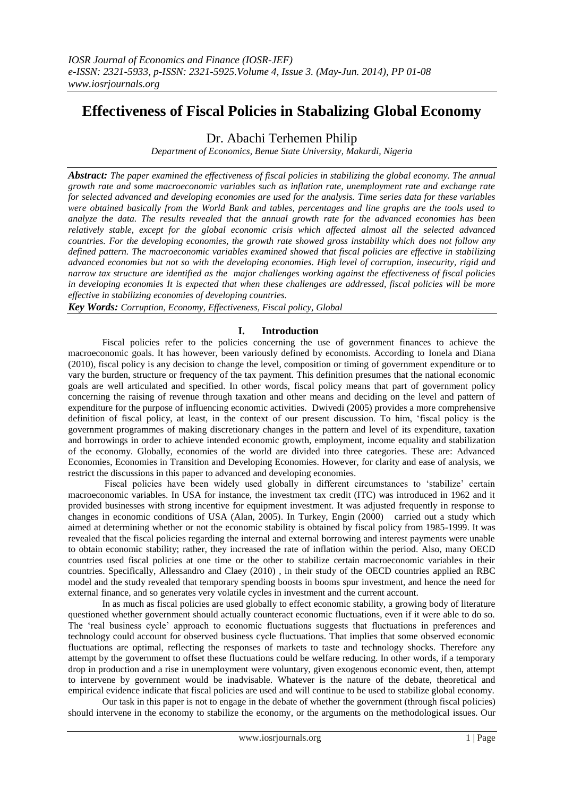# **Effectiveness of Fiscal Policies in Stabalizing Global Economy**

Dr. Abachi Terhemen Philip

*Department of Economics, Benue State University, Makurdi, Nigeria*

*Abstract: The paper examined the effectiveness of fiscal policies in stabilizing the global economy. The annual growth rate and some macroeconomic variables such as inflation rate, unemployment rate and exchange rate for selected advanced and developing economies are used for the analysis. Time series data for these variables were obtained basically from the World Bank and tables, percentages and line graphs are the tools used to analyze the data. The results revealed that the annual growth rate for the advanced economies has been relatively stable, except for the global economic crisis which affected almost all the selected advanced countries. For the developing economies, the growth rate showed gross instability which does not follow any defined pattern. The macroeconomic variables examined showed that fiscal policies are effective in stabilizing advanced economies but not so with the developing economies. High level of corruption, insecurity, rigid and narrow tax structure are identified as the major challenges working against the effectiveness of fiscal policies in developing economies It is expected that when these challenges are addressed, fiscal policies will be more effective in stabilizing economies of developing countries.* 

*Key Words: Corruption, Economy, Effectiveness, Fiscal policy, Global* 

## **I. Introduction**

Fiscal policies refer to the policies concerning the use of government finances to achieve the macroeconomic goals. It has however, been variously defined by economists. According to Ionela and Diana (2010), fiscal policy is any decision to change the level, composition or timing of government expenditure or to vary the burden, structure or frequency of the tax payment. This definition presumes that the national economic goals are well articulated and specified. In other words, fiscal policy means that part of government policy concerning the raising of revenue through taxation and other means and deciding on the level and pattern of expenditure for the purpose of influencing economic activities. Dwivedi (2005) provides a more comprehensive definition of fiscal policy, at least, in the context of our present discussion. To him, "fiscal policy is the government programmes of making discretionary changes in the pattern and level of its expenditure, taxation and borrowings in order to achieve intended economic growth, employment, income equality and stabilization of the economy. Globally, economies of the world are divided into three categories. These are: Advanced Economies, Economies in Transition and Developing Economies. However, for clarity and ease of analysis, we restrict the discussions in this paper to advanced and developing economies.

Fiscal policies have been widely used globally in different circumstances to "stabilize" certain macroeconomic variables. In USA for instance, the investment tax credit (ITC) was introduced in 1962 and it provided businesses with strong incentive for equipment investment. It was adjusted frequently in response to changes in economic conditions of USA (Alan, 2005). In Turkey, Engin (2000) carried out a study which aimed at determining whether or not the economic stability is obtained by fiscal policy from 1985-1999. It was revealed that the fiscal policies regarding the internal and external borrowing and interest payments were unable to obtain economic stability; rather, they increased the rate of inflation within the period. Also, many OECD countries used fiscal policies at one time or the other to stabilize certain macroeconomic variables in their countries. Specifically, Allessandro and Claey (2010) , in their study of the OECD countries applied an RBC model and the study revealed that temporary spending boosts in booms spur investment, and hence the need for external finance, and so generates very volatile cycles in investment and the current account.

In as much as fiscal policies are used globally to effect economic stability, a growing body of literature questioned whether government should actually counteract economic fluctuations, even if it were able to do so. The "real business cycle" approach to economic fluctuations suggests that fluctuations in preferences and technology could account for observed business cycle fluctuations. That implies that some observed economic fluctuations are optimal, reflecting the responses of markets to taste and technology shocks. Therefore any attempt by the government to offset these fluctuations could be welfare reducing. In other words, if a temporary drop in production and a rise in unemployment were voluntary, given exogenous economic event, then, attempt to intervene by government would be inadvisable. Whatever is the nature of the debate, theoretical and empirical evidence indicate that fiscal policies are used and will continue to be used to stabilize global economy.

Our task in this paper is not to engage in the debate of whether the government (through fiscal policies) should intervene in the economy to stabilize the economy, or the arguments on the methodological issues. Our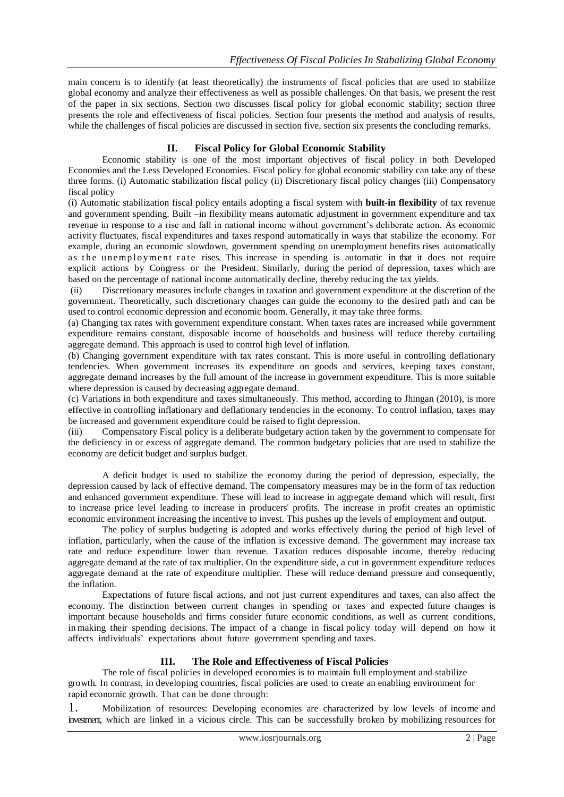main concern is to identify (at least theoretically) the instruments of fiscal policies that are used to stabilize global economy and analyze their effectiveness as well as possible challenges. On that basis, we present the rest of the paper in six sections. Section two discusses fiscal policy for global economic stability; section three presents the role and effectiveness of fiscal policies. Section four presents the method and analysis of results, while the challenges of fiscal policies are discussed in section five, section six presents the concluding remarks.

## **II. Fiscal Policy for Global Economic Stability**

Economic stability is one of the most important objectives of fiscal policy in both Developed Economies and the Less Developed Economies. Fiscal policy for global economic stability can take any of these three forms. (i) Automatic stabilization fiscal policy (ii) Discretionary fiscal policy changes (iii) Compensatory fiscal policy

(i) Automatic stabilization fiscal policy entails adopting a fiscal system with **built-in flexibility** of tax revenue and government spending. Built –in flexibility means automatic adjustment in government expenditure and tax revenue in response to a rise and fall in national income without government's deliberate action. As economic activity fluctuates, fiscal expenditures and taxes respond automatically in ways that stabilize the economy. For example, during an economic slowdown, government spending on unemployment benefits rises automatically as the unemployment rate rises. This increase in spending is automatic in that it does not require explicit actions by Congress or the President. Similarly, during the period of depression, taxes which are based on the percentage of national income automatically decline, thereby reducing the tax yields.

(ii) Discretionary measures include changes in taxation and government expenditure at the discretion of the government. Theoretically, such discretionary changes can guide the economy to the desired path and can be used to control economic depression and economic boom. Generally, it may take three forms.

(a) Changing tax rates with government expenditure constant. When taxes rates are increased while government expenditure remains constant, disposable income of households and business will reduce thereby curtailing aggregate demand. This approach is used to control high level of inflation.

(b) Changing government expenditure with tax rates constant. This is more useful in controlling deflationary tendencies. When government increases its expenditure on goods and services, keeping taxes constant, aggregate demand increases by the full amount of the increase in government expenditure. This is more suitable where depression is caused by decreasing aggregate demand.

(c) Variations in both expenditure and taxes simultaneously. This method, according to Jhingan (2010), is more effective in controlling inflationary and deflationary tendencies in the economy. To control inflation, taxes may be increased and government expenditure could be raised to fight depression.

(iii) Compensatory Fiscal policy is a deliberate budgetary action taken by the government to compensate for the deficiency in or excess of aggregate demand. The common budgetary policies that are used to stabilize the economy are deficit budget and surplus budget.

A deficit budget is used to stabilize the economy during the period of depression, especially, the depression caused by lack of effective demand. The compensatory measures may be in the form of tax reduction and enhanced government expenditure. These will lead to increase in aggregate demand which will result, first to increase price level leading to increase in producers' profits. The increase in profit creates an optimistic economic environment increasing the incentive to invest. This pushes up the levels of employment and output.

The policy of surplus budgeting is adopted and works effectively during the period of high level of inflation, particularly, when the cause of the inflation is excessive demand. The government may increase tax rate and reduce expenditure lower than revenue. Taxation reduces disposable income, thereby reducing aggregate demand at the rate of tax multiplier. On the expenditure side, a cut in government expenditure reduces aggregate demand at the rate of expenditure multiplier. These will reduce demand pressure and consequently, the inflation.

Expectations of future fiscal actions, and not just current expenditures and taxes, can also affect the economy. The distinction between current changes in spending or taxes and expected future changes is important because households and firms consider future economic conditions, as well as current conditions, in making their spending decisions. The impact of a change in fiscal policy today will depend on how it affects individuals" expectations about future government spending and taxes.

## **III. The Role and Effectiveness of Fiscal Policies**

The role of fiscal policies in developed economies is to maintain full employment and stabilize growth. In contrast, in developing countries, fiscal policies are used to create an enabling environment for rapid economic growth. That can be done through:

1. Mobilization of resources: Developing economies are characterized by low levels of income and investment, which are linked in a vicious circle. This can be successfully broken by mobilizing resources for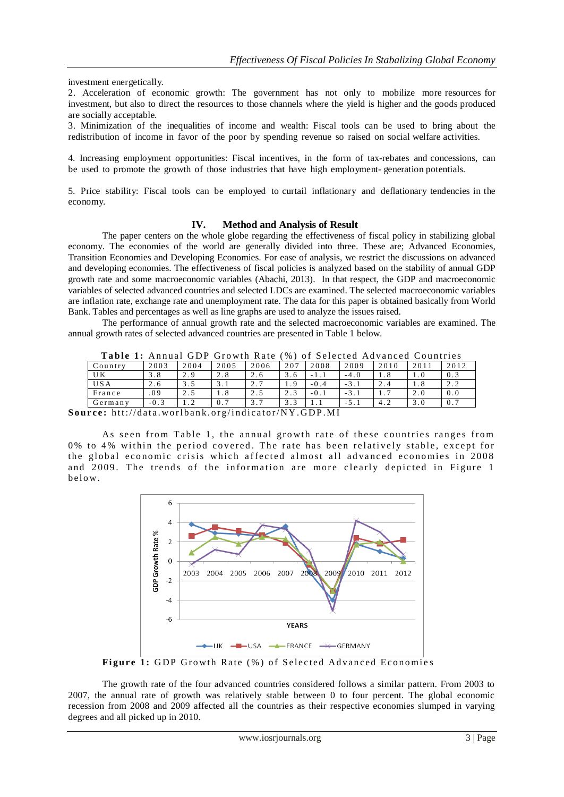investment energetically.

2. Acceleration of economic growth: The government has not only to mobilize more resources for investment, but also to direct the resources to those channels where the yield is higher and the goods produced are socially acceptable.

3. Minimization of the inequalities of income and wealth: Fiscal tools can be used to bring about the redistribution of income in favor of the poor by spending revenue so raised on social welfare activities.

4. Increasing employment opportunities: Fiscal incentives, in the form of tax-rebates and concessions, can be used to promote the growth of those industries that have high employment- generation potentials.

5. Price stability: Fiscal tools can be employed to curtail inflationary and deflationary tendencies in the economy.

## **IV. Method and Analysis of Result**

The paper centers on the whole globe regarding the effectiveness of fiscal policy in stabilizing global economy. The economies of the world are generally divided into three. These are; Advanced Economies, Transition Economies and Developing Economies. For ease of analysis, we restrict the discussions on advanced and developing economies. The effectiveness of fiscal policies is analyzed based on the stability of annual GDP growth rate and some macroeconomic variables (Abachi, 2013). In that respect, the GDP and macroeconomic variables of selected advanced countries and selected LDCs are examined. The selected macroeconomic variables are inflation rate, exchange rate and unemployment rate. The data for this paper is obtained basically from World Bank. Tables and percentages as well as line graphs are used to analyze the issues raised.

The performance of annual growth rate and the selected macroeconomic variables are examined. The annual growth rates of selected advanced countries are presented in Table 1 below.

| <b>Table 1:</b> Annual GDP Growth Rate (%) of Selected Advanced Countries |                                                                              |      |      |      |     |        |        |      |            |      |
|---------------------------------------------------------------------------|------------------------------------------------------------------------------|------|------|------|-----|--------|--------|------|------------|------|
| Country                                                                   | 2003                                                                         | 2004 | 2005 | 2006 | 207 | 2008   | 2009   | 2010 | 2011       | 2012 |
| UK                                                                        | 3.8                                                                          | 2.9  | 2.8  | 2.6  | 3.6 | $-1.1$ | $-4.0$ |      | $\ldots 0$ | 0.3  |
| USA                                                                       | 2.6                                                                          | 3.5  | 3.1  | 2.7  | 1.9 | $-0.4$ | $-3.1$ | 2.4  |            | 2.2  |
| France                                                                    | .09                                                                          | 2.5  | 1.8  | 2.5  | 2.3 | $-0.1$ | $-3$ . |      | 2.0        | 0.0  |
| Germany                                                                   | $-0.3$                                                                       | 1.2  | 0.7  | 3.7  | 3.3 |        | $-5.$  | 4.2  | 3.0        | 0.7  |
|                                                                           | ree: $\frac{h}{h}$ the light world and $\frac{h}{h}$ arglindigator NV CDD MI |      |      |      |     |        |        |      |            |      |

Source: htt://data.worlbank.org/indicator/NY.GDP.MI

As seen from Table 1, the annual growth rate of these countries ranges from 0% to 4% within the period covered. The rate has been relatively stable, except for the global economic crisis which affected almost all advanced economies in 2008 and 2009. The trends of the information are more clearly depicted in Figure 1 b e l o w.



Figure 1: GDP Growth Rate (%) of Selected Advanced Economies

The growth rate of the four advanced countries considered follows a similar pattern. From 2003 to 2007, the annual rate of growth was relatively stable between 0 to four percent. The global economic recession from 2008 and 2009 affected all the countries as their respective economies slumped in varying degrees and all picked up in 2010.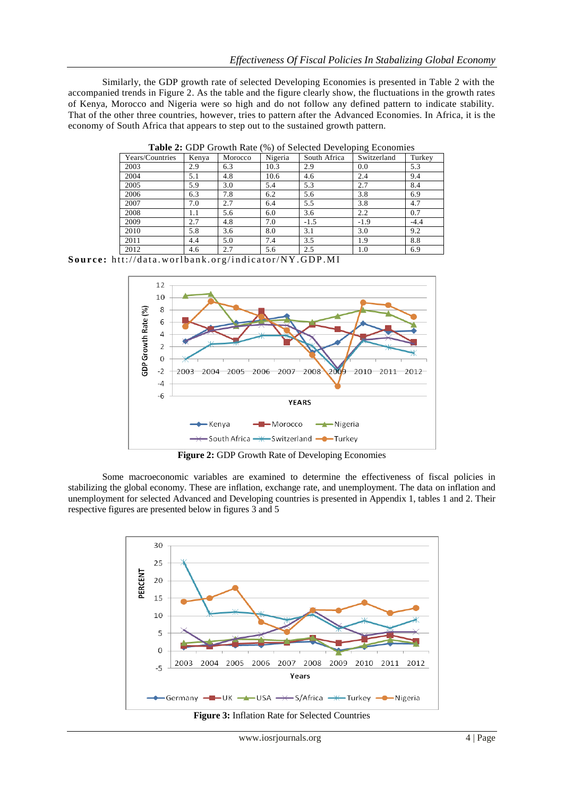Similarly, the GDP growth rate of selected Developing Economies is presented in Table 2 with the accompanied trends in Figure 2. As the table and the figure clearly show, the fluctuations in the growth rates of Kenya, Morocco and Nigeria were so high and do not follow any defined pattern to indicate stability. That of the other three countries, however, tries to pattern after the Advanced Economies. In Africa, it is the economy of South Africa that appears to step out to the sustained growth pattern.

| Years/Countries | Kenya | Morocco | Nigeria | South Africa | Switzerland | Turkey |
|-----------------|-------|---------|---------|--------------|-------------|--------|
| 2003            | 2.9   | 6.3     | 10.3    | 2.9          | 0.0         | 5.3    |
| 2004            | 5.1   | 4.8     | 10.6    | 4.6          | 2.4         | 9.4    |
| 2005            | 5.9   | 3.0     | 5.4     | 5.3          | 2.7         | 8.4    |
| 2006            | 6.3   | 7.8     | 6.2     | 5.6          | 3.8         | 6.9    |
| 2007            | 7.0   | 2.7     | 6.4     | 5.5          | 3.8         | 4.7    |
| 2008            | 1.1   | 5.6     | 6.0     | 3.6          | 2.2         | 0.7    |
| 2009            | 2.7   | 4.8     | 7.0     | $-1.5$       | $-1.9$      | $-4.4$ |
| 2010            | 5.8   | 3.6     | 8.0     | 3.1          | 3.0         | 9.2    |
| 2011            | 4.4   | 5.0     | 7.4     | 3.5          | 1.9         | 8.8    |
| 2012            | 4.6   | 2.7     | 5.6     | 2.5          | 1.0         | 6.9    |

**Table 2:** GDP Growth Rate (%) of Selected Developing Economies

Source: htt://data.worlbank.org/indicator/NY.GDP.MI



**Figure 2:** GDP Growth Rate of Developing Economies

Some macroeconomic variables are examined to determine the effectiveness of fiscal policies in stabilizing the global economy. These are inflation, exchange rate, and unemployment. The data on inflation and unemployment for selected Advanced and Developing countries is presented in Appendix 1, tables 1 and 2. Their respective figures are presented below in figures 3 and 5

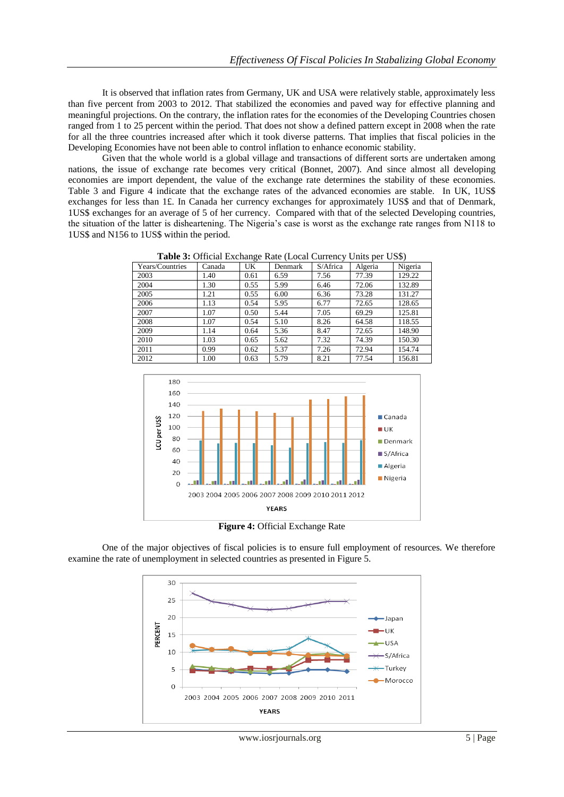It is observed that inflation rates from Germany, UK and USA were relatively stable, approximately less than five percent from 2003 to 2012. That stabilized the economies and paved way for effective planning and meaningful projections. On the contrary, the inflation rates for the economies of the Developing Countries chosen ranged from 1 to 25 percent within the period. That does not show a defined pattern except in 2008 when the rate for all the three countries increased after which it took diverse patterns. That implies that fiscal policies in the Developing Economies have not been able to control inflation to enhance economic stability.

Given that the whole world is a global village and transactions of different sorts are undertaken among nations, the issue of exchange rate becomes very critical (Bonnet, 2007). And since almost all developing economies are import dependent, the value of the exchange rate determines the stability of these economies. Table 3 and Figure 4 indicate that the exchange rates of the advanced economies are stable. In UK, 1US\$ exchanges for less than 1£. In Canada her currency exchanges for approximately 1US\$ and that of Denmark, 1US\$ exchanges for an average of 5 of her currency. Compared with that of the selected Developing countries, the situation of the latter is disheartening. The Nigeria"s case is worst as the exchange rate ranges from N118 to 1US\$ and N156 to 1US\$ within the period.

| Years/Countries | Canada | UK   | Denmark | S/Africa | Algeria | Nigeria |
|-----------------|--------|------|---------|----------|---------|---------|
| 2003            | 1.40   | 0.61 | 6.59    | 7.56     | 77.39   | 129.22  |
| 2004            | 1.30   | 0.55 | 5.99    | 6.46     | 72.06   | 132.89  |
| 2005            | 1.21   | 0.55 | 6.00    | 6.36     | 73.28   | 131.27  |
| 2006            | 1.13   | 0.54 | 5.95    | 6.77     | 72.65   | 128.65  |
| 2007            | 1.07   | 0.50 | 5.44    | 7.05     | 69.29   | 125.81  |
| 2008            | 1.07   | 0.54 | 5.10    | 8.26     | 64.58   | 118.55  |
| 2009            | 1.14   | 0.64 | 5.36    | 8.47     | 72.65   | 148.90  |
| 2010            | 1.03   | 0.65 | 5.62    | 7.32     | 74.39   | 150.30  |
| 2011            | 0.99   | 0.62 | 5.37    | 7.26     | 72.94   | 154.74  |
| 2012            | 1.00   | 0.63 | 5.79    | 8.21     | 77.54   | 156.81  |

**Table 3:** Official Exchange Rate (Local Currency Units per US\$)



**Figure 4:** Official Exchange Rate

One of the major objectives of fiscal policies is to ensure full employment of resources. We therefore examine the rate of unemployment in selected countries as presented in Figure 5.

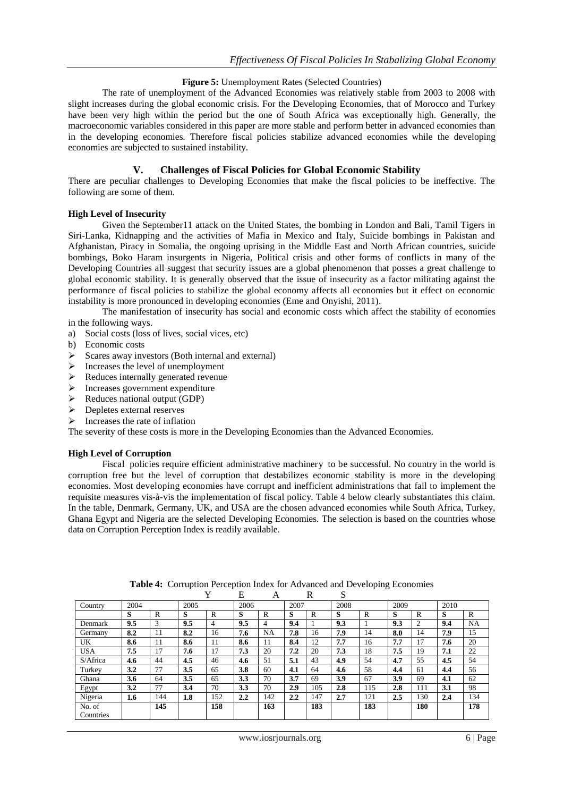## **Figure 5:** Unemployment Rates (Selected Countries)

The rate of unemployment of the Advanced Economies was relatively stable from 2003 to 2008 with slight increases during the global economic crisis. For the Developing Economies, that of Morocco and Turkey have been very high within the period but the one of South Africa was exceptionally high. Generally, the macroeconomic variables considered in this paper are more stable and perform better in advanced economies than in the developing economies. Therefore fiscal policies stabilize advanced economies while the developing economies are subjected to sustained instability.

## **V. Challenges of Fiscal Policies for Global Economic Stability**

There are peculiar challenges to Developing Economies that make the fiscal policies to be ineffective. The following are some of them.

#### **High Level of Insecurity**

Given the September11 attack on the United States, the bombing in London and Bali, Tamil Tigers in Siri-Lanka, Kidnapping and the activities of Mafia in Mexico and Italy, Suicide bombings in Pakistan and Afghanistan, Piracy in Somalia, the ongoing uprising in the Middle East and North African countries, suicide bombings, Boko Haram insurgents in Nigeria, Political crisis and other forms of conflicts in many of the Developing Countries all suggest that security issues are a global phenomenon that posses a great challenge to global economic stability. It is generally observed that the issue of insecurity as a factor militating against the performance of fiscal policies to stabilize the global economy affects all economies but it effect on economic instability is more pronounced in developing economies (Eme and Onyishi, 2011).

The manifestation of insecurity has social and economic costs which affect the stability of economies in the following ways.

- a) Social costs (loss of lives, social vices, etc)
- b) Economic costs
- $\triangleright$  Scares away investors (Both internal and external)
- $\triangleright$  Increases the level of unemployment
- $\triangleright$  Reduces internally generated revenue
- $\triangleright$  Increases government expenditure
- $\triangleright$  Reduces national output (GDP)
- Depletes external reserves
- $\triangleright$  Increases the rate of inflation

The severity of these costs is more in the Developing Economies than the Advanced Economies.

#### **High Level of Corruption**

Fiscal policies require efficient administrative machinery to be successful. No country in the world is corruption free but the level of corruption that destabilizes economic stability is more in the developing economies. Most developing economies have corrupt and inefficient administrations that fail to implement the requisite measures vis-à-vis the implementation of fiscal policy. Table 4 below clearly substantiates this claim. In the table, Denmark, Germany, UK, and USA are the chosen advanced economies while South Africa, Turkey, Ghana Egypt and Nigeria are the selected Developing Economies. The selection is based on the countries whose data on Corruption Perception Index is readily available.

|            |      |     |      |     | E    | А            |      | R   | S    |     |      |              |      |           |
|------------|------|-----|------|-----|------|--------------|------|-----|------|-----|------|--------------|------|-----------|
| Country    | 2004 |     | 2005 |     | 2006 |              | 2007 |     | 2008 |     | 2009 |              | 2010 |           |
|            | S    | R   | S    | R   | S    | $\mathbb{R}$ | S    | R   | S    | R   | S    | $\mathbb{R}$ | S    | R         |
| Denmark    | 9.5  | 3   | 9.5  | 4   | 9.5  | 4            | 9.4  |     | 9.3  |     | 9.3  | 2            | 9.4  | <b>NA</b> |
| Germany    | 8.2  | 11  | 8.2  | 16  | 7.6  | NA           | 7.8  | 16  | 7.9  | 14  | 8.0  | 14           | 7.9  | 15        |
| UK         | 8.6  | 11  | 8.6  | 11  | 8.6  | 11           | 8.4  | 12  | 7.7  | 16  | 7.7  | 17           | 7.6  | 20        |
| <b>USA</b> | 7.5  | 17  | 7.6  | 17  | 7.3  | 20           | 7.2  | 20  | 7.3  | 18  | 7.5  | 19           | 7.1  | 22        |
| S/Africa   | 4.6  | 44  | 4.5  | 46  | 4.6  | 51           | 5.1  | 43  | 4.9  | 54  | 4.7  | 55           | 4.5  | 54        |
| Turkey     | 3.2  | 77  | 3.5  | 65  | 3.8  | 60           | 4.1  | 64  | 4.6  | 58  | 4.4  | 61           | 4.4  | 56        |
| Ghana      | 3.6  | 64  | 3.5  | 65  | 3.3  | 70           | 3.7  | 69  | 3.9  | 67  | 3.9  | 69           | 4.1  | 62        |
| Egypt      | 3.2  | 77  | 3.4  | 70  | 3.3  | 70           | 2.9  | 105 | 2.8  | 115 | 2.8  | 111          | 3.1  | 98        |
| Nigeria    | 1.6  | 144 | 1.8  | 152 | 2.2  | 142          | 2.2  | 147 | 2.7  | 121 | 2.5  | 130          | 2.4  | 134       |
| No. of     |      | 145 |      | 158 |      | 163          |      | 183 |      | 183 |      | <b>180</b>   |      | 178       |
| Countries  |      |     |      |     |      |              |      |     |      |     |      |              |      |           |

**Table 4:** Corruption Perception Index for Advanced and Developing Economies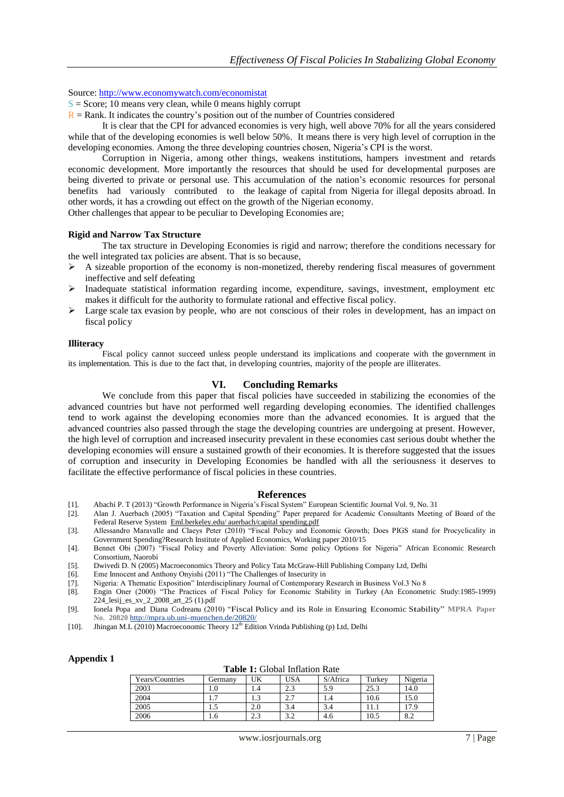#### Source[: http://www.economywatch.com/economistat](http://www.economywatch.com/economistat)

 $S =$  Score; 10 means very clean, while 0 means highly corrupt

 $R =$ Rank. It indicates the country's position out of the number of Countries considered

It is clear that the CPI for advanced economies is very high, well above 70% for all the years considered while that of the developing economies is well below 50%. It means there is very high level of corruption in the developing economies. Among the three developing countries chosen, Nigeria"s CPI is the worst.

Corruption in Nigeria, among other things, weakens institutions, hampers investment and retards economic development. More importantly the resources that should be used for developmental purposes are being diverted to private or personal use. This accumulation of the nation"s economic resources for personal benefits had variously contributed to the leakage of capital from Nigeria for illegal deposits abroad. In other words, it has a crowding out effect on the growth of the Nigerian economy.

Other challenges that appear to be peculiar to Developing Economies are;

#### **Rigid and Narrow Tax Structure**

The tax structure in Developing Economies is rigid and narrow; therefore the conditions necessary for the well integrated tax policies are absent. That is so because,

- A sizeable proportion of the economy is non-monetized, thereby rendering fiscal measures of government ineffective and self defeating
- $\triangleright$  Inadequate statistical information regarding income, expenditure, savings, investment, employment etc makes it difficult for the authority to formulate rational and effective fiscal policy.
- $\triangleright$  Large scale tax evasion by people, who are not conscious of their roles in development, has an impact on fiscal policy

#### **Illiteracy**

Fiscal policy cannot succeed unless people understand its implications and cooperate with the government in its implementation. This is due to the fact that, in developing countries, majority of the people are illiterates.

#### **VI. Concluding Remarks**

We conclude from this paper that fiscal policies have succeeded in stabilizing the economies of the advanced countries but have not performed well regarding developing economies. The identified challenges tend to work against the developing economies more than the advanced economies. It is argued that the advanced countries also passed through the stage the developing countries are undergoing at present. However, the high level of corruption and increased insecurity prevalent in these economies cast serious doubt whether the developing economies will ensure a sustained growth of their economies. It is therefore suggested that the issues of corruption and insecurity in Developing Economies be handled with all the seriousness it deserves to facilitate the effective performance of fiscal policies in these countries.

#### **References**

- [1]. Abachi P. T (2013) "Growth Performance in Nigeria"s Fiscal System" European Scientific Journal Vol. 9, No. 31
- [2]. Alan J. Auerbach (2005) "Taxation and Capital Spending" Paper prepared for Academic Consultants Meeting of Board of the Federal Reserve System Eml.berkeley.edu/ auerbach/capital spending.pdf
- [3]. Allessandro Maravalle and Claeys Peter (2010) "Fiscal Policy and Economic Growth; Does PIGS stand for Procyclicality in Government Spending?Research Institute of Applied Economics, Working paper 2010/15
- [4]. Bennet Obi (2007) "Fiscal Policy and Poverty Alleviation: Some policy Options for Nigeria" African Economic Research Consortium, Naorobi
- [5]. Dwivedi D. N (2005) Macroeconomics Theory and Policy Tata McGraw-Hill Publishing Company Ltd, Delhi
- [6]. Eme Innocent and Anthony Onyishi (2011) "The Challenges of Insecurity in [7]. Nigeria: A Thematic Exposition" Interdisciplinary Journal of Contemporary I
- Nigeria: A Thematic Exposition" Interdisciplinary Journal of Contemporary Research in Business Vol.3 No 8
- [8]. Engin Oner (2000) "The Practices of Fiscal Policy for Economic Stability in Turkey (An Econometric Study:1985-1999) 224\_lesij\_es\_xv\_2\_2008\_art\_25 (1).pdf
- [9]. Ionela Popa and Diana Codreanu (2010) "Fiscal Policy and its Role in Ensuring Economic Stability" **MPRA Paper No. 20820** <http://mpra.ub.uni-muenchen.de/20820/>
- [10]. Jhingan M.L  $(2010)$  Macroeconomic Theory  $12<sup>th</sup>$  Edition Vrinda Publishing (p) Ltd, Delhi

#### **Appendix 1**

| Years/Countries | Germanv | UK   | <b>Table 1.</b> Olobal Inflation Rate<br><b>USA</b> | S/Africa | Turkev | Nigeria |
|-----------------|---------|------|-----------------------------------------------------|----------|--------|---------|
| 2003            | L.U     | l .4 |                                                     | 5.9      | 25.3   | 14.0    |
| 2004            |         |      |                                                     | 1.4      | 10.6   | 15.0    |
| 2005            | 1.J     | 2.0  |                                                     | 3.4      |        | 17.9    |
| 2006            | 1.0     | د.2  | ے. ر                                                | 4.6      | 10.5   | 8.2     |

**Table 1:** Global Inflation Rate